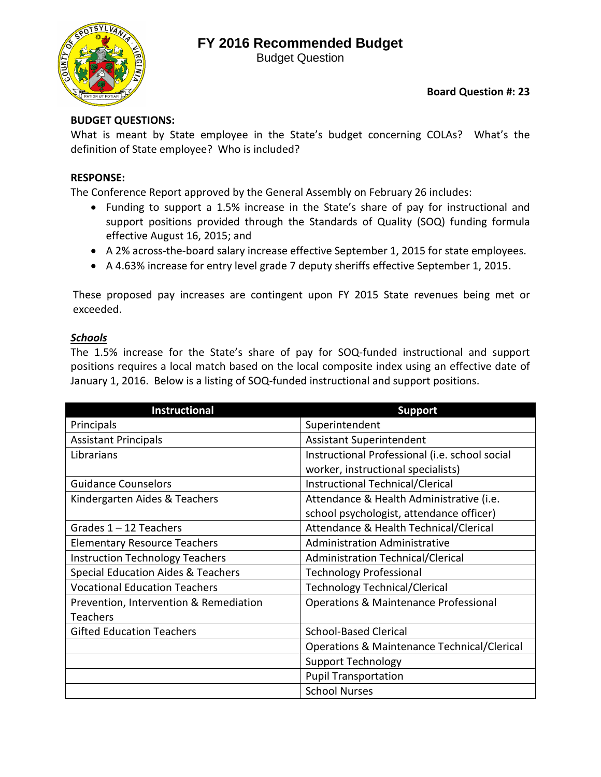## **FY 2016 Recommended Budget**



Budget Question

#### **Board Question #: 23**

### **BUDGET QUESTIONS:**

What is meant by State employee in the State's budget concerning COLAs? What's the definition of State employee? Who is included?

#### **RESPONSE:**

The Conference Report approved by the General Assembly on February 26 includes:

- Funding to support a 1.5% increase in the State's share of pay for instructional and support positions provided through the Standards of Quality (SOQ) funding formula effective August 16, 2015; and
- A 2% across-the-board salary increase effective September 1, 2015 for state employees.
- A 4.63% increase for entry level grade 7 deputy sheriffs effective September 1, 2015.

These proposed pay increases are contingent upon FY 2015 State revenues being met or exceeded.

#### *Schools*

The 1.5% increase for the State's share of pay for SOQ-funded instructional and support positions requires a local match based on the local composite index using an effective date of January 1, 2016. Below is a listing of SOQ-funded instructional and support positions.

| <b>Instructional</b>                          | <b>Support</b>                                   |
|-----------------------------------------------|--------------------------------------------------|
| Principals                                    | Superintendent                                   |
| <b>Assistant Principals</b>                   | <b>Assistant Superintendent</b>                  |
| Librarians                                    | Instructional Professional (i.e. school social   |
|                                               | worker, instructional specialists)               |
| <b>Guidance Counselors</b>                    | Instructional Technical/Clerical                 |
| Kindergarten Aides & Teachers                 | Attendance & Health Administrative (i.e.         |
|                                               | school psychologist, attendance officer)         |
| Grades $1 - 12$ Teachers                      | Attendance & Health Technical/Clerical           |
| <b>Elementary Resource Teachers</b>           | <b>Administration Administrative</b>             |
| <b>Instruction Technology Teachers</b>        | <b>Administration Technical/Clerical</b>         |
| <b>Special Education Aides &amp; Teachers</b> | <b>Technology Professional</b>                   |
| <b>Vocational Education Teachers</b>          | <b>Technology Technical/Clerical</b>             |
| Prevention, Intervention & Remediation        | <b>Operations &amp; Maintenance Professional</b> |
| Teachers                                      |                                                  |
| <b>Gifted Education Teachers</b>              | <b>School-Based Clerical</b>                     |
|                                               | Operations & Maintenance Technical/Clerical      |
|                                               | <b>Support Technology</b>                        |
|                                               | <b>Pupil Transportation</b>                      |
|                                               | <b>School Nurses</b>                             |